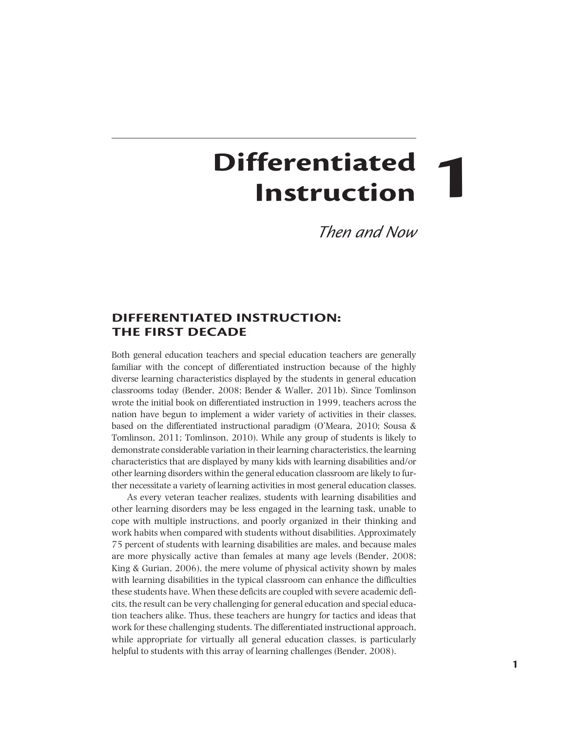# **1 Differentiated Instruction**

 *Then and Now* 

# **DIFFERENTIATED INSTRUCTION: THE FIRST DECADE**

 Both general education teachers and special education teachers are generally familiar with the concept of differentiated instruction because of the highly diverse learning characteristics displayed by the students in general education classrooms today (Bender, 2008; Bender & Waller, 2011b). Since Tomlinson wrote the initial book on differentiated instruction in 1999, teachers across the nation have begun to implement a wider variety of activities in their classes, based on the differentiated instructional paradigm (O'Meara, 2010; Sousa & Tomlinson, 2011; Tomlinson, 2010). While any group of students is likely to demonstrate considerable variation in their learning characteristics, the learning characteristics that are displayed by many kids with learning disabilities and/or other learning disorders within the general education classroom are likely to further necessitate a variety of learning activities in most general education classes.

 As every veteran teacher realizes, students with learning disabilities and other learning disorders may be less engaged in the learning task, unable to cope with multiple instructions, and poorly organized in their thinking and work habits when compared with students without disabilities. Approximately 75 percent of students with learning disabilities are males, and because males are more physically active than females at many age levels (Bender, 2008; King & Gurian, 2006), the mere volume of physical activity shown by males with learning disabilities in the typical classroom can enhance the difficulties these students have. When these deficits are coupled with severe academic deficits, the result can be very challenging for general education and special education teachers alike. Thus, these teachers are hungry for tactics and ideas that work for these challenging students. The differentiated instructional approach, while appropriate for virtually all general education classes, is particularly helpful to students with this array of learning challenges (Bender, 2008).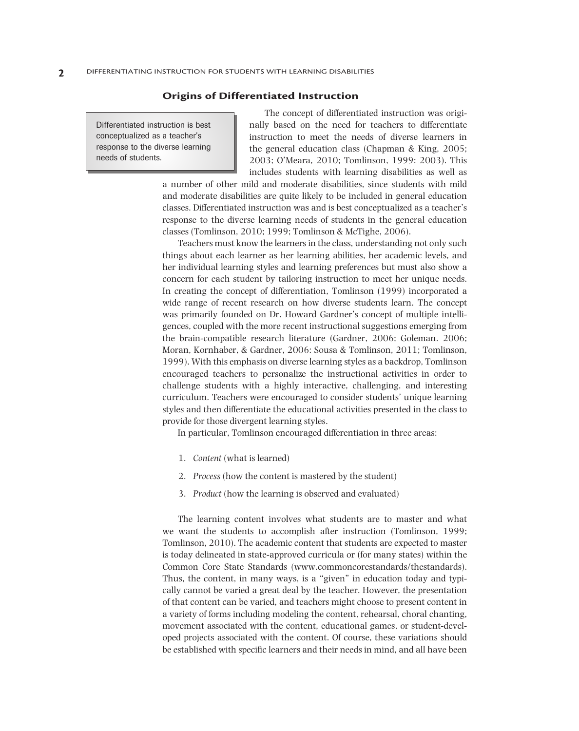# **Origins of Differentiated Instruction**

Differentiated instruction is best conceptualized as a teacher's response to the diverse learning needs of students.

 The concept of differentiated instruction was originally based on the need for teachers to differentiate instruction to meet the needs of diverse learners in the general education class (Chapman & King, 2005; 2003; O'Meara, 2010; Tomlinson, 1999; 2003). This includes students with learning disabilities as well as

a number of other mild and moderate disabilities, since students with mild and moderate disabilities are quite likely to be included in general education classes. Differentiated instruction was and is best conceptualized as a teacher's response to the diverse learning needs of students in the general education classes (Tomlinson, 2010; 1999; Tomlinson & McTighe, 2006).

 Teachers must know the learners in the class, understanding not only such things about each learner as her learning abilities, her academic levels, and her individual learning styles and learning preferences but must also show a concern for each student by tailoring instruction to meet her unique needs. In creating the concept of differentiation, Tomlinson (1999) incorporated a wide range of recent research on how diverse students learn. The concept was primarily founded on Dr. Howard Gardner's concept of multiple intelligences, coupled with the more recent instructional suggestions emerging from the brain-compatible research literature (Gardner, 2006; Goleman. 2006; Moran, Kornhaber, & Gardner, 2006: Sousa & Tomlinson, 2011; Tomlinson, 1999). With this emphasis on diverse learning styles as a backdrop, Tomlinson encouraged teachers to personalize the instructional activities in order to challenge students with a highly interactive, challenging, and interesting curriculum. Teachers were encouraged to consider students' unique learning styles and then differentiate the educational activities presented in the class to provide for those divergent learning styles.

In particular, Tomlinson encouraged differentiation in three areas:

- 1. *Content* (what is learned)
- 2. *Process* (how the content is mastered by the student)
- 3. *Product* (how the learning is observed and evaluated)

 The learning content involves what students are to master and what we want the students to accomplish after instruction (Tomlinson, 1999; Tomlinson, 2010). The academic content that students are expected to master is today delineated in state-approved curricula or (for many states) within the Common Core State Standards (www.commoncorestandards/thestandards). Thus, the content, in many ways, is a "given" in education today and typically cannot be varied a great deal by the teacher. However, the presentation of that content can be varied, and teachers might choose to present content in a variety of forms including modeling the content, rehearsal, choral chanting, movement associated with the content, educational games, or student-developed projects associated with the content. Of course, these variations should be established with specific learners and their needs in mind, and all have been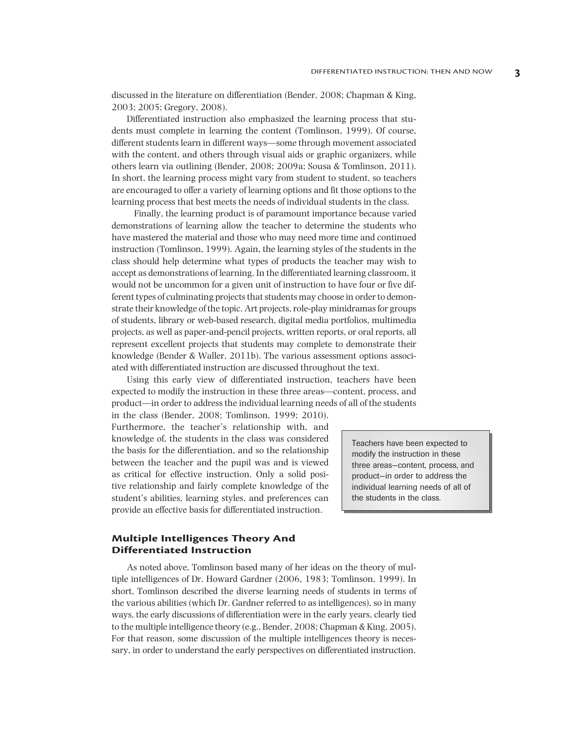discussed in the literature on differentiation (Bender, 2008; Chapman & King, 2003; 2005; Gregory, 2008).

 Differentiated instruction also emphasized the learning process that students must complete in learning the content (Tomlinson, 1999). Of course, different students learn in different ways—some through movement associated with the content, and others through visual aids or graphic organizers, while others learn via outlining (Bender, 2008; 2009a; Sousa & Tomlinson, 2011). In short, the learning process might vary from student to student, so teachers are encouraged to offer a variety of learning options and fit those options to the learning process that best meets the needs of individual students in the class.

 Finally, the learning product is of paramount importance because varied demonstrations of learning allow the teacher to determine the students who have mastered the material and those who may need more time and continued instruction (Tomlinson, 1999). Again, the learning styles of the students in the class should help determine what types of products the teacher may wish to accept as demonstrations of learning. In the differentiated learning classroom, it would not be uncommon for a given unit of instruction to have four or five different types of culminating projects that students may choose in order to demonstrate their knowledge of the topic. Art projects, role-play minidramas for groups of students, library or web-based research, digital media portfolios, multimedia projects, as well as paper-and-pencil projects, written reports, or oral reports, all represent excellent projects that students may complete to demonstrate their knowledge (Bender & Waller, 2011b). The various assessment options associated with differentiated instruction are discussed throughout the text.

 Using this early view of differentiated instruction, teachers have been expected to modify the instruction in these three areas—content, process, and product—in order to address the individual learning needs of all of the students

in the class (Bender, 2008; Tomlinson, 1999; 2010). Furthermore, the teacher's relationship with, and knowledge of, the students in the class was considered the basis for the differentiation, and so the relationship between the teacher and the pupil was and is viewed as critical for effective instruction. Only a solid positive relationship and fairly complete knowledge of the student's abilities, learning styles, and preferences can provide an effective basis for differentiated instruction.

Teachers have been expected to modify the instruction in these three areas—content, process, and product—in order to address the individual learning needs of all of the students in the class.

# **Multiple Intelligences Theory And Differentiated Instruction**

 As noted above, Tomlinson based many of her ideas on the theory of multiple intelligences of Dr. Howard Gardner (2006, 1983; Tomlinson, 1999). In short, Tomlinson described the diverse learning needs of students in terms of the various abilities (which Dr. Gardner referred to as intelligences), so in many ways, the early discussions of differentiation were in the early years, clearly tied to the multiple intelligence theory (e.g., Bender, 2008; Chapman & King, 2005). For that reason, some discussion of the multiple intelligences theory is necessary, in order to understand the early perspectives on differentiated instruction.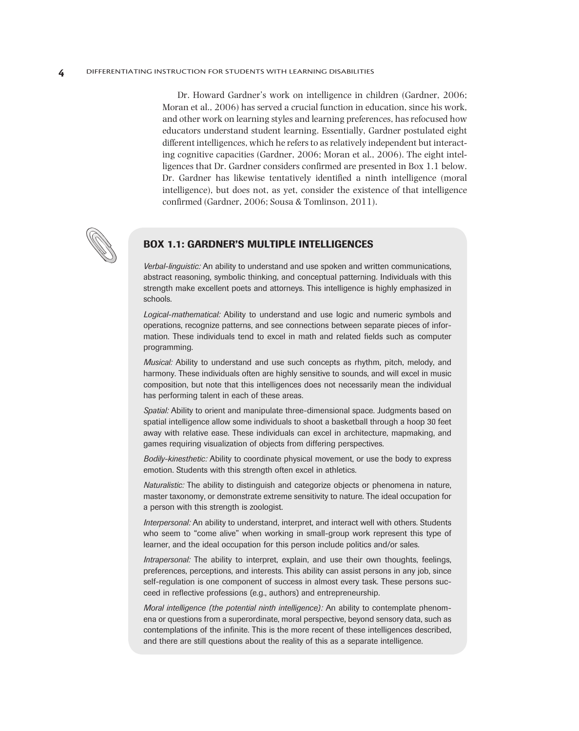Dr. Howard Gardner's work on intelligence in children (Gardner, 2006; Moran et al., 2006) has served a crucial function in education, since his work, and other work on learning styles and learning preferences, has refocused how educators understand student learning. Essentially, Gardner postulated eight different intelligences, which he refers to as relatively independent but interacting cognitive capacities (Gardner, 2006; Moran et al., 2006). The eight intelligences that Dr. Gardner considers confirmed are presented in Box 1.1 below. Dr. Gardner has likewise tentatively identified a ninth intelligence (moral intelligence), but does not, as yet, consider the existence of that intelligence confirmed (Gardner, 2006; Sousa & Tomlinson, 2011).



# **BOX 1.1: GARDNER'S MULTIPLE INTELLIGENCES**

*Verbal-linguistic:* An ability to understand and use spoken and written communications, abstract reasoning, symbolic thinking, and conceptual patterning. Individuals with this strength make excellent poets and attorneys. This intelligence is highly emphasized in schools.

*Logical-mathematical:* Ability to understand and use logic and numeric symbols and operations, recognize patterns, and see connections between separate pieces of information. These individuals tend to excel in math and related fields such as computer programming.

*Musical:* Ability to understand and use such concepts as rhythm, pitch, melody, and harmony. These individuals often are highly sensitive to sounds, and will excel in music composition, but note that this intelligences does not necessarily mean the individual has performing talent in each of these areas.

*Spatial:* Ability to orient and manipulate three-dimensional space. Judgments based on spatial intelligence allow some individuals to shoot a basketball through a hoop 30 feet away with relative ease. These individuals can excel in architecture, mapmaking, and games requiring visualization of objects from differing perspectives.

*Bodily-kinesthetic:* Ability to coordinate physical movement, or use the body to express emotion. Students with this strength often excel in athletics.

*Naturalistic:* The ability to distinguish and categorize objects or phenomena in nature, master taxonomy, or demonstrate extreme sensitivity to nature. The ideal occupation for a person with this strength is zoologist.

*Interpersonal:* An ability to understand, interpret, and interact well with others. Students who seem to "come alive" when working in small-group work represent this type of learner, and the ideal occupation for this person include politics and/or sales.

*Intrapersonal:* The ability to interpret, explain, and use their own thoughts, feelings, preferences, perceptions, and interests. This ability can assist persons in any job, since self-regulation is one component of success in almost every task. These persons succeed in reflective professions (e.g., authors) and entrepreneurship.

*Moral intelligence (the potential ninth intelligence):* An ability to contemplate phenomena or questions from a superordinate, moral perspective, beyond sensory data, such as contemplations of the infinite. This is the more recent of these intelligences described, and there are still questions about the reality of this as a separate intelligence.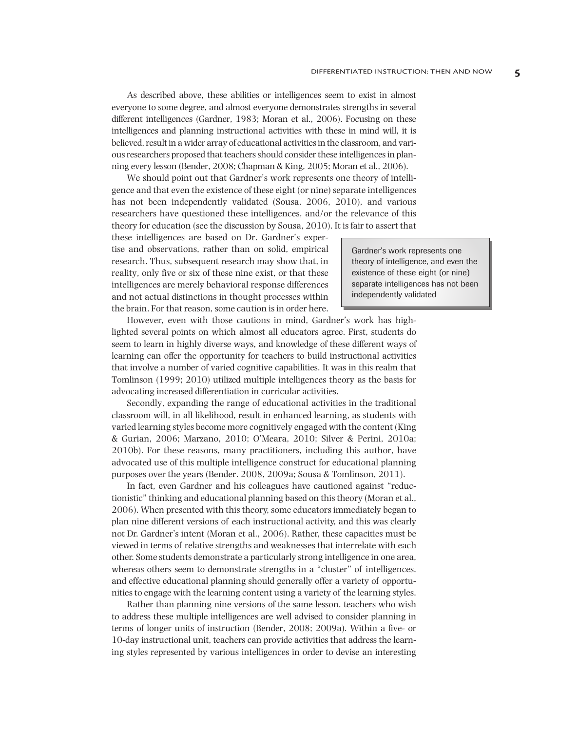As described above, these abilities or intelligences seem to exist in almost everyone to some degree, and almost everyone demonstrates strengths in several different intelligences (Gardner, 1983; Moran et al., 2006). Focusing on these intelligences and planning instructional activities with these in mind will, it is believed, result in a wider array of educational activities in the classroom, and various researchers proposed that teachers should consider these intelligences in planning every lesson (Bender, 2008; Chapman & King, 2005; Moran et al., 2006).

 We should point out that Gardner's work represents one theory of intelligence and that even the existence of these eight (or nine) separate intelligences has not been independently validated (Sousa, 2006, 2010), and various researchers have questioned these intelligences, and/or the relevance of this theory for education (see the discussion by Sousa, 2010). It is fair to assert that

these intelligences are based on Dr. Gardner's expertise and observations, rather than on solid, empirical research. Thus, subsequent research may show that, in reality, only five or six of these nine exist, or that these intelligences are merely behavioral response differences and not actual distinctions in thought processes within the brain. For that reason, some caution is in order here.

Gardner's work represents one theory of intelligence, and even the existence of these eight (or nine) separate intelligences has not been independently validated

 However, even with those cautions in mind, Gardner's work has highlighted several points on which almost all educators agree. First, students do seem to learn in highly diverse ways, and knowledge of these different ways of learning can offer the opportunity for teachers to build instructional activities that involve a number of varied cognitive capabilities. It was in this realm that Tomlinson (1999; 2010) utilized multiple intelligences theory as the basis for advocating increased differentiation in curricular activities.

 Secondly, expanding the range of educational activities in the traditional classroom will, in all likelihood, result in enhanced learning, as students with varied learning styles become more cognitively engaged with the content (King & Gurian, 2006; Marzano, 2010; O'Meara, 2010; Silver & Perini, 2010a; 2010b). For these reasons, many practitioners, including this author, have advocated use of this multiple intelligence construct for educational planning purposes over the years (Bender. 2008, 2009a; Sousa & Tomlinson, 2011).

 In fact, even Gardner and his colleagues have cautioned against "reductionistic" thinking and educational planning based on this theory (Moran et al., 2006). When presented with this theory, some educators immediately began to plan nine different versions of each instructional activity, and this was clearly not Dr. Gardner's intent (Moran et al., 2006). Rather, these capacities must be viewed in terms of relative strengths and weaknesses that interrelate with each other. Some students demonstrate a particularly strong intelligence in one area, whereas others seem to demonstrate strengths in a "cluster" of intelligences, and effective educational planning should generally offer a variety of opportunities to engage with the learning content using a variety of the learning styles.

 Rather than planning nine versions of the same lesson, teachers who wish to address these multiple intelligences are well advised to consider planning in terms of longer units of instruction (Bender, 2008; 2009a). Within a five- or 10-day instructional unit, teachers can provide activities that address the learning styles represented by various intelligences in order to devise an interesting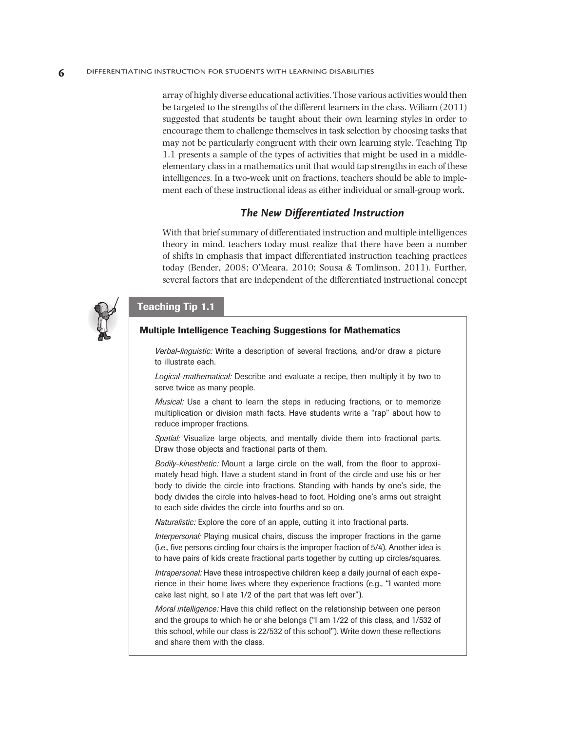array of highly diverse educational activities. Those various activities would then be targeted to the strengths of the different learners in the class. Wiliam (2011) suggested that students be taught about their own learning styles in order to encourage them to challenge themselves in task selection by choosing tasks that may not be particularly congruent with their own learning style. Teaching Tip 1.1 presents a sample of the types of activities that might be used in a middleelementary class in a mathematics unit that would tap strengths in each of these intelligences. In a two-week unit on fractions, teachers should be able to implement each of these instructional ideas as either individual or small-group work.

# *The New Differentiated Instruction*

 With that brief summary of differentiated instruction and multiple intelligences theory in mind, teachers today must realize that there have been a number of shifts in emphasis that impact differentiated instruction teaching practices today (Bender, 2008; O'Meara, 2010; Sousa & Tomlinson, 2011). Further, several factors that are independent of the differentiated instructional concept

## **Teaching Tip 1.1**

#### **Multiple Intelligence Teaching Suggestions for Mathematics**

*Verbal-linguistic:* Write a description of several fractions, and/or draw a picture to illustrate each.

*Logical-mathematical:* Describe and evaluate a recipe, then multiply it by two to serve twice as many people.

*Musical:* Use a chant to learn the steps in reducing fractions, or to memorize multiplication or division math facts. Have students write a "rap" about how to reduce improper fractions.

*Spatial:* Visualize large objects, and mentally divide them into fractional parts. Draw those objects and fractional parts of them.

*Bodily-kinesthetic:* Mount a large circle on the wall, from the floor to approximately head high. Have a student stand in front of the circle and use his or her body to divide the circle into fractions. Standing with hands by one's side, the body divides the circle into halves-head to foot. Holding one's arms out straight to each side divides the circle into fourths and so on.

*Naturalistic:* Explore the core of an apple, cutting it into fractional parts.

*Interpersonal:* Playing musical chairs, discuss the improper fractions in the game (i.e., five persons circling four chairs is the improper fraction of 5/4). Another idea is to have pairs of kids create fractional parts together by cutting up circles/squares.

*Intrapersonal:* Have these introspective children keep a daily journal of each experience in their home lives where they experience fractions (e.g., "I wanted more cake last night, so I ate 1/2 of the part that was left over").

*Moral intelligence:* Have this child reflect on the relationship between one person and the groups to which he or she belongs ("I am 1/22 of this class, and 1/532 of this school, while our class is 22/532 of this school"). Write down these reflections and share them with the class.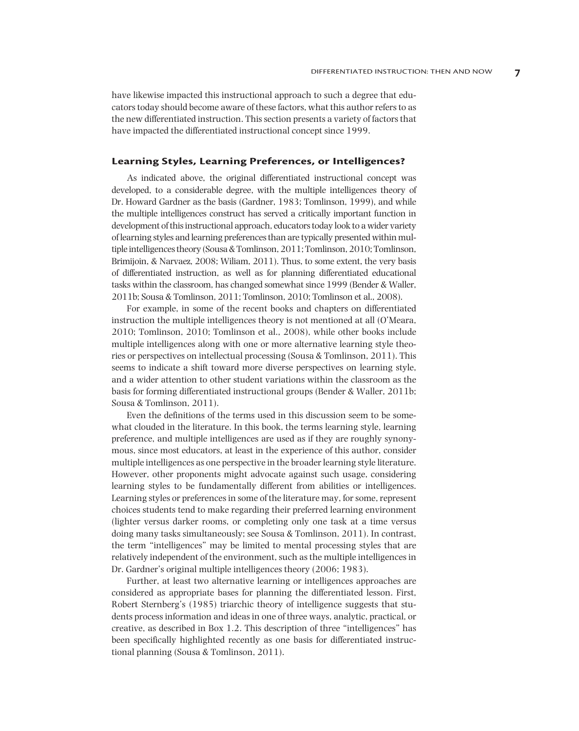have likewise impacted this instructional approach to such a degree that educators today should become aware of these factors, what this author refers to as the new differentiated instruction. This section presents a variety of factors that have impacted the differentiated instructional concept since 1999.

## **Learning Styles, Learning Preferences, or Intelligences?**

 As indicated above, the original differentiated instructional concept was developed, to a considerable degree, with the multiple intelligences theory of Dr. Howard Gardner as the basis (Gardner, 1983; Tomlinson, 1999), and while the multiple intelligences construct has served a critically important function in development of this instructional approach, educators today look to a wider variety of learning styles and learning preferences than are typically presented within multiple intelligences theory (Sousa & Tomlinson, 2011; Tomlinson, 2010; Tomlinson, Brimijoin, & Narvaez, 2008; Wiliam, 2011). Thus, to some extent, the very basis of differentiated instruction, as well as for planning differentiated educational tasks within the classroom, has changed somewhat since 1999 (Bender & Waller, 2011b; Sousa & Tomlinson, 2011; Tomlinson, 2010; Tomlinson et al., 2008).

 For example, in some of the recent books and chapters on differentiated instruction the multiple intelligences theory is not mentioned at all (O'Meara, 2010; Tomlinson, 2010; Tomlinson et al., 2008), while other books include multiple intelligences along with one or more alternative learning style theories or perspectives on intellectual processing (Sousa & Tomlinson, 2011). This seems to indicate a shift toward more diverse perspectives on learning style, and a wider attention to other student variations within the classroom as the basis for forming differentiated instructional groups (Bender & Waller, 2011b; Sousa & Tomlinson, 2011).

 Even the definitions of the terms used in this discussion seem to be somewhat clouded in the literature. In this book, the terms learning style, learning preference, and multiple intelligences are used as if they are roughly synonymous, since most educators, at least in the experience of this author, consider multiple intelligences as one perspective in the broader learning style literature. However, other proponents might advocate against such usage, considering learning styles to be fundamentally different from abilities or intelligences. Learning styles or preferences in some of the literature may, for some, represent choices students tend to make regarding their preferred learning environment (lighter versus darker rooms, or completing only one task at a time versus doing many tasks simultaneously; see Sousa & Tomlinson, 2011). In contrast, the term "intelligences" may be limited to mental processing styles that are relatively independent of the environment, such as the multiple intelligences in Dr. Gardner's original multiple intelligences theory (2006; 1983).

 Further, at least two alternative learning or intelligences approaches are considered as appropriate bases for planning the differentiated lesson. First, Robert Sternberg's (1985) triarchic theory of intelligence suggests that students process information and ideas in one of three ways, analytic, practical, or creative, as described in Box 1.2. This description of three "intelligences" has been specifically highlighted recently as one basis for differentiated instructional planning (Sousa & Tomlinson, 2011).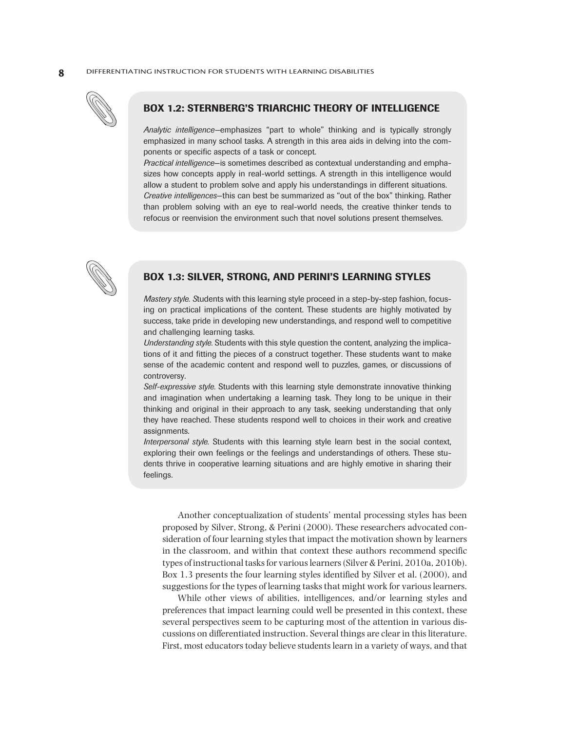

## **BOX 1.2: STERNBERG'S TRIARCHIC THEORY OF INTELLIGENCE**

*Analytic intelligence—*emphasizes "part to whole" thinking and is typically strongly emphasized in many school tasks. A strength in this area aids in delving into the components or specific aspects of a task or concept.

*Practical intelligence*—is sometimes described as contextual understanding and emphasizes how concepts apply in real-world settings. A strength in this intelligence would allow a student to problem solve and apply his understandings in different situations. *Creative intelligences*—this can best be summarized as "out of the box" thinking. Rather than problem solving with an eye to real-world needs, the creative thinker tends to refocus or reenvision the environment such that novel solutions present themselves.



# **BOX 1.3: SILVER, STRONG, AND PERINI'S LEARNING STYLES**

*Mastery style. S*tudents with this learning style proceed in a step-by-step fashion, focusing on practical implications of the content. These students are highly motivated by success, take pride in developing new understandings, and respond well to competitive and challenging learning tasks.

*Understanding style.* Students with this style question the content, analyzing the implications of it and fitting the pieces of a construct together. These students want to make sense of the academic content and respond well to puzzles, games, or discussions of controversy.

*Self-expressive style.* Students with this learning style demonstrate innovative thinking and imagination when undertaking a learning task. They long to be unique in their thinking and original in their approach to any task, seeking understanding that only they have reached. These students respond well to choices in their work and creative assignments.

*Interpersonal style.* Students with this learning style learn best in the social context, exploring their own feelings or the feelings and understandings of others. These students thrive in cooperative learning situations and are highly emotive in sharing their feelings.

 Another conceptualization of students' mental processing styles has been proposed by Silver, Strong, & Perini (2000). These researchers advocated consideration of four learning styles that impact the motivation shown by learners in the classroom, and within that context these authors recommend specific types of instructional tasks for various learners (Silver & Perini, 2010a, 2010b). Box 1.3 presents the four learning styles identified by Silver et al. (2000), and suggestions for the types of learning tasks that might work for various learners.

 While other views of abilities, intelligences, and/or learning styles and preferences that impact learning could well be presented in this context, these several perspectives seem to be capturing most of the attention in various discussions on differentiated instruction. Several things are clear in this literature. First, most educators today believe students learn in a variety of ways, and that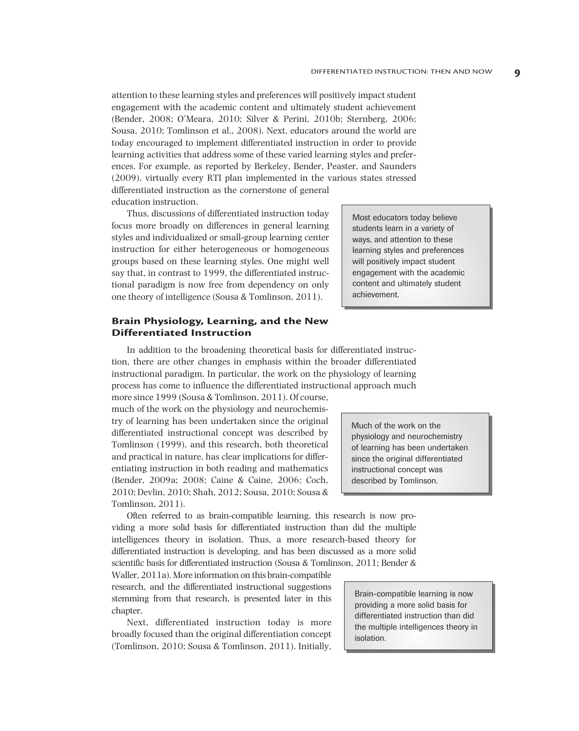attention to these learning styles and preferences will positively impact student engagement with the academic content and ultimately student achievement (Bender, 2008; O'Meara, 2010; Silver & Perini, 2010b; Sternberg, 2006; Sousa, 2010; Tomlinson et al., 2008). Next, educators around the world are today encouraged to implement differentiated instruction in order to provide learning activities that address some of these varied learning styles and preferences. For example, as reported by Berkeley, Bender, Peaster, and Saunders (2009), virtually every RTI plan implemented in the various states stressed differentiated instruction as the cornerstone of general education instruction.

 Thus, discussions of differentiated instruction today focus more broadly on differences in general learning styles and individualized or small-group learning center instruction for either heterogeneous or homogeneous groups based on these learning styles. One might well say that, in contrast to 1999, the differentiated instructional paradigm is now free from dependency on only one theory of intelligence (Sousa & Tomlinson, 2011).

## **Brain Physiology, Learning, and the New Differentiated Instruction**

 In addition to the broadening theoretical basis for differentiated instruction, there are other changes in emphasis within the broader differentiated instructional paradigm. In particular, the work on the physiology of learning process has come to influence the differentiated instructional approach much

more since 1999 (Sousa & Tomlinson, 2011). Of course, much of the work on the physiology and neurochemistry of learning has been undertaken since the original differentiated instructional concept was described by Tomlinson (1999), and this research, both theoretical and practical in nature, has clear implications for differentiating instruction in both reading and mathematics (Bender, 2009a; 2008; Caine & Caine, 2006; Coch, 2010; Devlin, 2010; Shah, 2012; Sousa, 2010; Sousa & Tomlinson, 2011).

 Often referred to as brain-compatible learning, this research is now providing a more solid basis for differentiated instruction than did the multiple intelligences theory in isolation. Thus, a more research-based theory for differentiated instruction is developing, and has been discussed as a more solid scientific basis for differentiated instruction (Sousa & Tomlinson, 2011; Bender &

Waller, 2011a). More information on this brain-compatible research, and the differentiated instructional suggestions stemming from that research, is presented later in this chapter.

 Next, differentiated instruction today is more broadly focused than the original differentiation concept (Tomlinson, 2010; Sousa & Tomlinson, 2011). Initially,

Most educators today believe students learn in a variety of ways, and attention to these learning styles and preferences will positively impact student engagement with the academic content and ultimately student achievement.

Much of the work on the physiology and neurochemistry of learning has been undertaken since the original differentiated instructional concept was described by Tomlinson.

Brain-compatible learning is now providing a more solid basis for differentiated instruction than did the multiple intelligences theory in isolation.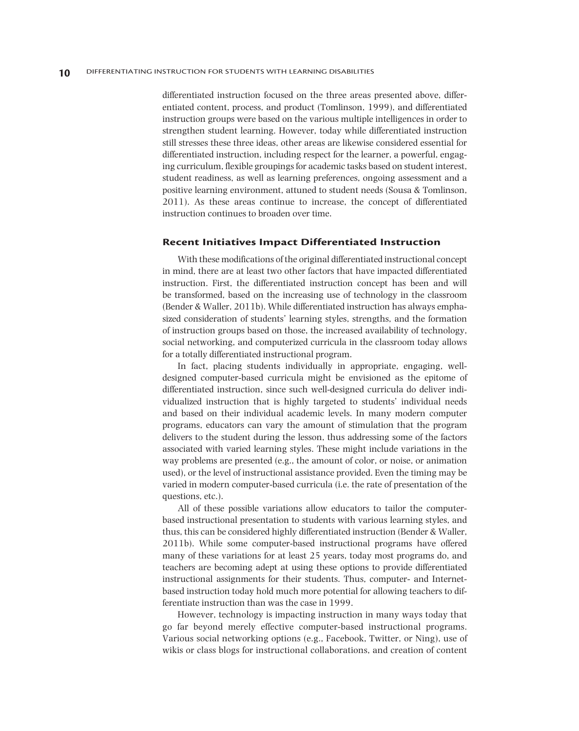differentiated instruction focused on the three areas presented above, differentiated content, process, and product (Tomlinson, 1999), and differentiated instruction groups were based on the various multiple intelligences in order to strengthen student learning. However, today while differentiated instruction still stresses these three ideas, other areas are likewise considered essential for differentiated instruction, including respect for the learner, a powerful, engaging curriculum, flexible groupings for academic tasks based on student interest, student readiness, as well as learning preferences, ongoing assessment and a positive learning environment, attuned to student needs (Sousa & Tomlinson, 2011). As these areas continue to increase, the concept of differentiated instruction continues to broaden over time.

## **Recent Initiatives Impact Differentiated Instruction**

 With these modifications of the original differentiated instructional concept in mind, there are at least two other factors that have impacted differentiated instruction. First, the differentiated instruction concept has been and will be transformed, based on the increasing use of technology in the classroom (Bender & Waller, 2011b). While differentiated instruction has always emphasized consideration of students' learning styles, strengths, and the formation of instruction groups based on those, the increased availability of technology, social networking, and computerized curricula in the classroom today allows for a totally differentiated instructional program.

 In fact, placing students individually in appropriate, engaging, welldesigned computer-based curricula might be envisioned as the epitome of differentiated instruction, since such well-designed curricula do deliver individualized instruction that is highly targeted to students' individual needs and based on their individual academic levels. In many modern computer programs, educators can vary the amount of stimulation that the program delivers to the student during the lesson, thus addressing some of the factors associated with varied learning styles. These might include variations in the way problems are presented (e.g., the amount of color, or noise, or animation used), or the level of instructional assistance provided. Even the timing may be varied in modern computer-based curricula (i.e. the rate of presentation of the questions, etc.).

 All of these possible variations allow educators to tailor the computerbased instructional presentation to students with various learning styles, and thus, this can be considered highly differentiated instruction (Bender & Waller, 2011b). While some computer-based instructional programs have offered many of these variations for at least 25 years, today most programs do, and teachers are becoming adept at using these options to provide differentiated instructional assignments for their students. Thus, computer- and Internetbased instruction today hold much more potential for allowing teachers to differentiate instruction than was the case in 1999.

 However, technology is impacting instruction in many ways today that go far beyond merely effective computer-based instructional programs. Various social networking options (e.g., Facebook, Twitter, or Ning), use of wikis or class blogs for instructional collaborations, and creation of content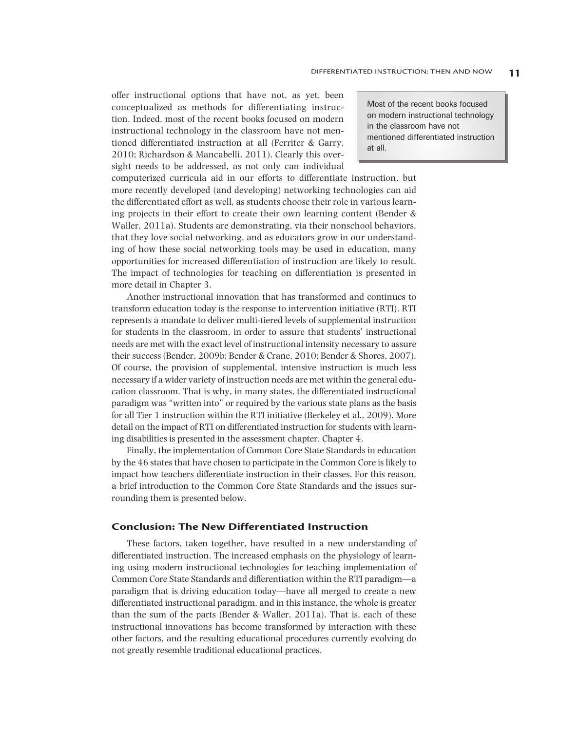offer instructional options that have not, as yet, been conceptualized as methods for differentiating instruction. Indeed, most of the recent books focused on modern instructional technology in the classroom have not mentioned differentiated instruction at all (Ferriter & Garry, 2010; Richardson & Mancabelli, 2011). Clearly this oversight needs to be addressed, as not only can individual

computerized curricula aid in our efforts to differentiate instruction, but more recently developed (and developing) networking technologies can aid the differentiated effort as well, as students choose their role in various learning projects in their effort to create their own learning content (Bender & Waller, 2011a). Students are demonstrating, via their nonschool behaviors, that they love social networking, and as educators grow in our understanding of how these social networking tools may be used in education, many opportunities for increased differentiation of instruction are likely to result. The impact of technologies for teaching on differentiation is presented in more detail in Chapter 3.

 Another instructional innovation that has transformed and continues to transform education today is the response to intervention initiative (RTI). RTI represents a mandate to deliver multi-tiered levels of supplemental instruction for students in the classroom, in order to assure that students' instructional needs are met with the exact level of instructional intensity necessary to assure their success (Bender, 2009b; Bender & Crane, 2010; Bender & Shores, 2007). Of course, the provision of supplemental, intensive instruction is much less necessary if a wider variety of instruction needs are met within the general education classroom. That is why, in many states, the differentiated instructional paradigm was "written into" or required by the various state plans as the basis for all Tier 1 instruction within the RTI initiative (Berkeley et al., 2009). More detail on the impact of RTI on differentiated instruction for students with learning disabilities is presented in the assessment chapter, Chapter 4.

 Finally, the implementation of Common Core State Standards in education by the 46 states that have chosen to participate in the Common Core is likely to impact how teachers differentiate instruction in their classes. For this reason, a brief introduction to the Common Core State Standards and the issues surrounding them is presented below.

## **Conclusion: The New Differentiated Instruction**

 These factors, taken together, have resulted in a new understanding of differentiated instruction. The increased emphasis on the physiology of learning using modern instructional technologies for teaching implementation of Common Core State Standards and differentiation within the RTI paradigm—a paradigm that is driving education today—have all merged to create a new differentiated instructional paradigm, and in this instance, the whole is greater than the sum of the parts (Bender & Waller, 2011a). That is, each of these instructional innovations has become transformed by interaction with these other factors, and the resulting educational procedures currently evolving do not greatly resemble traditional educational practices.

Most of the recent books focused on modern instructional technology in the classroom have not mentioned differentiated instruction at all.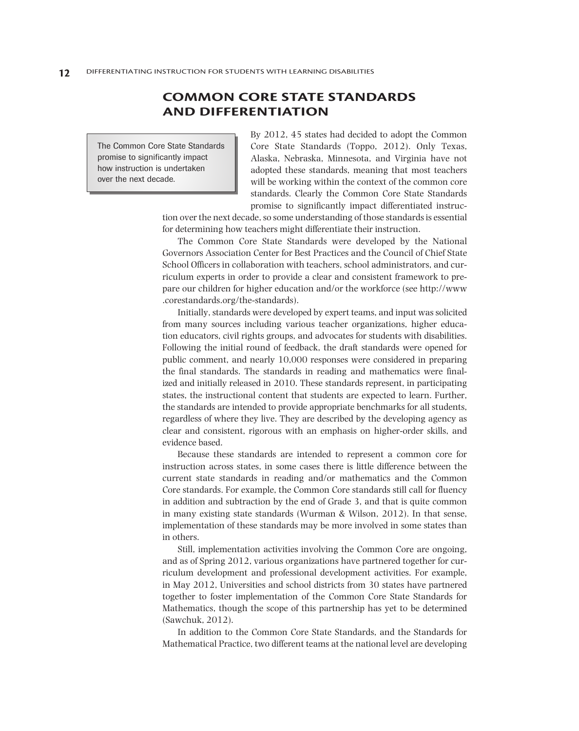# **COMMON CORE STATE STANDARDS AND DIFFERENTIATION**

The Common Core State Standards promise to significantly impact how instruction is undertaken over the next decade.

 By 2012, 45 states had decided to adopt the Common Core State Standards (Toppo, 2012). Only Texas, Alaska, Nebraska, Minnesota, and Virginia have not adopted these standards, meaning that most teachers will be working within the context of the common core standards. Clearly the Common Core State Standards promise to significantly impact differentiated instruc-

tion over the next decade, so some understanding of those standards is essential for determining how teachers might differentiate their instruction.

 The Common Core State Standards were developed by the National Governors Association Center for Best Practices and the Council of Chief State School Officers in collaboration with teachers, school administrators, and curriculum experts in order to provide a clear and consistent framework to prepare our children for higher education and/or the workforce (see http://www .corestandards.org/the-standards).

 Initially, standards were developed by expert teams, and input was solicited from many sources including various teacher organizations, higher education educators, civil rights groups, and advocates for students with disabilities. Following the initial round of feedback, the draft standards were opened for public comment, and nearly 10,000 responses were considered in preparing the final standards. The standards in reading and mathematics were finalized and initially released in 2010. These standards represent, in participating states, the instructional content that students are expected to learn. Further, the standards are intended to provide appropriate benchmarks for all students, regardless of where they live. They are described by the developing agency as clear and consistent, rigorous with an emphasis on higher-order skills, and evidence based.

 Because these standards are intended to represent a common core for instruction across states, in some cases there is little difference between the current state standards in reading and/or mathematics and the Common Core standards. For example, the Common Core standards still call for fluency in addition and subtraction by the end of Grade 3, and that is quite common in many existing state standards (Wurman & Wilson, 2012). In that sense, implementation of these standards may be more involved in some states than in others.

 Still, implementation activities involving the Common Core are ongoing, and as of Spring 2012, various organizations have partnered together for curriculum development and professional development activities. For example, in May 2012, Universities and school districts from 30 states have partnered together to foster implementation of the Common Core State Standards for Mathematics, though the scope of this partnership has yet to be determined (Sawchuk, 2012).

 In addition to the Common Core State Standards, and the Standards for Mathematical Practice, two different teams at the national level are developing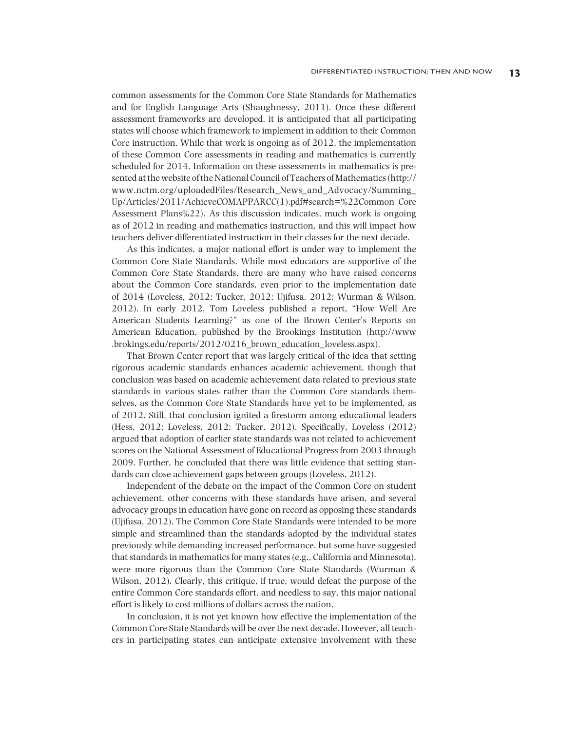common assessments for the Common Core State Standards for Mathematics and for English Language Arts (Shaughnessy, 2011). Once these different assessment frameworks are developed, it is anticipated that all participating states will choose which framework to implement in addition to their Common Core instruction. While that work is ongoing as of 2012, the implementation of these Common Core assessments in reading and mathematics is currently scheduled for 2014. Information on these assessments in mathematics is presented at the website of the National Council of Teachers of Mathematics (http:// www.nctm.org/uploadedFiles/Research\_News\_and\_Advocacy/Summing\_ Up/Articles/2011/AchieveCOMAPPARCC(1).pdf#search=%22Common Core Assessment Plans%22). As this discussion indicates, much work is ongoing as of 2012 in reading and mathematics instruction, and this will impact how teachers deliver differentiated instruction in their classes for the next decade.

 As this indicates, a major national effort is under way to implement the Common Core State Standards. While most educators are supportive of the Common Core State Standards, there are many who have raised concerns about the Common Core standards, even prior to the implementation date of 2014 (Loveless, 2012; Tucker, 2012; Ujifusa, 2012; Wurman & Wilson, 2012). In early 2012, Tom Loveless published a report, "How Well Are American Students Learning?" as one of the Brown Center's Reports on American Education, published by the Brookings Institution (http://www .brokings.edu/reports/2012/0216\_brown\_education\_loveless.aspx).

 That Brown Center report that was largely critical of the idea that setting rigorous academic standards enhances academic achievement, though that conclusion was based on academic achievement data related to previous state standards in various states rather than the Common Core standards themselves, as the Common Core State Standards have yet to be implemented, as of 2012. Still, that conclusion ignited a firestorm among educational leaders (Hess, 2012; Loveless, 2012; Tucker, 2012). Specifically, Loveless (2012) argued that adoption of earlier state standards was not related to achievement scores on the National Assessment of Educational Progress from 2003 through 2009. Further, he concluded that there was little evidence that setting standards can close achievement gaps between groups (Loveless, 2012).

 Independent of the debate on the impact of the Common Core on student achievement, other concerns with these standards have arisen, and several advocacy groups in education have gone on record as opposing these standards (Ujifusa, 2012). The Common Core State Standards were intended to be more simple and streamlined than the standards adopted by the individual states previously while demanding increased performance, but some have suggested that standards in mathematics for many states (e.g., California and Minnesota), were more rigorous than the Common Core State Standards (Wurman & Wilson, 2012). Clearly, this critique, if true, would defeat the purpose of the entire Common Core standards effort, and needless to say, this major national effort is likely to cost millions of dollars across the nation.

 In conclusion, it is not yet known how effective the implementation of the Common Core State Standards will be over the next decade. However, all teachers in participating states can anticipate extensive involvement with these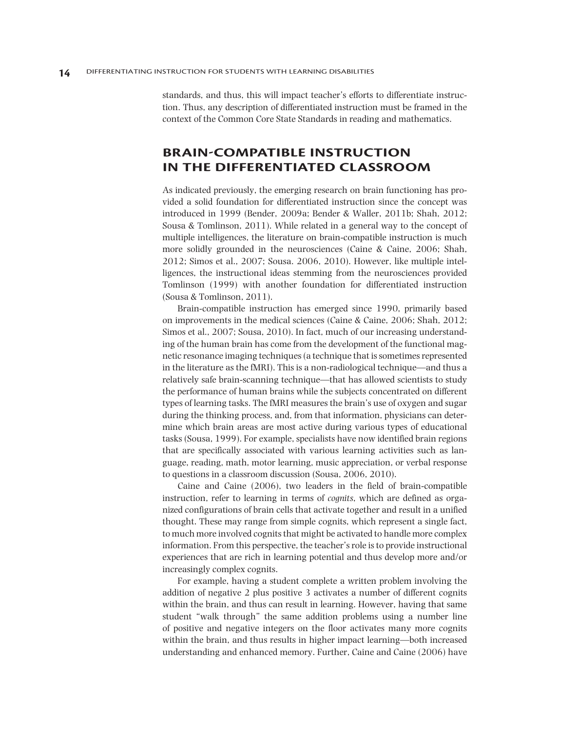standards, and thus, this will impact teacher's efforts to differentiate instruction. Thus, any description of differentiated instruction must be framed in the context of the Common Core State Standards in reading and mathematics.

# **BRAIN-COMPATIBLE INSTRUCTION IN THE DIFFERENTIATED CLASSROOM**

 As indicated previously, the emerging research on brain functioning has provided a solid foundation for differentiated instruction since the concept was introduced in 1999 (Bender, 2009a; Bender & Waller, 2011b; Shah, 2012; Sousa & Tomlinson, 2011). While related in a general way to the concept of multiple intelligences, the literature on brain-compatible instruction is much more solidly grounded in the neurosciences (Caine & Caine, 2006; Shah, 2012; Simos et al., 2007; Sousa. 2006, 2010). However, like multiple intelligences, the instructional ideas stemming from the neurosciences provided Tomlinson (1999) with another foundation for differentiated instruction (Sousa & Tomlinson, 2011).

 Brain-compatible instruction has emerged since 1990, primarily based on improvements in the medical sciences (Caine & Caine, 2006; Shah, 2012; Simos et al., 2007; Sousa, 2010). In fact, much of our increasing understanding of the human brain has come from the development of the functional magnetic resonance imaging techniques (a technique that is sometimes represented in the literature as the fMRI). This is a non-radiological technique—and thus a relatively safe brain-scanning technique—that has allowed scientists to study the performance of human brains while the subjects concentrated on different types of learning tasks. The fMRI measures the brain's use of oxygen and sugar during the thinking process, and, from that information, physicians can determine which brain areas are most active during various types of educational tasks (Sousa, 1999). For example, specialists have now identified brain regions that are specifically associated with various learning activities such as language, reading, math, motor learning, music appreciation, or verbal response to questions in a classroom discussion (Sousa, 2006, 2010).

 Caine and Caine (2006), two leaders in the field of brain-compatible instruction, refer to learning in terms of *cognits*, which are defined as organized configurations of brain cells that activate together and result in a unified thought. These may range from simple cognits, which represent a single fact, to much more involved cognits that might be activated to handle more complex information. From this perspective, the teacher's role is to provide instructional experiences that are rich in learning potential and thus develop more and/or increasingly complex cognits.

 For example, having a student complete a written problem involving the addition of negative 2 plus positive 3 activates a number of different cognits within the brain, and thus can result in learning. However, having that same student "walk through" the same addition problems using a number line of positive and negative integers on the floor activates many more cognits within the brain, and thus results in higher impact learning—both increased understanding and enhanced memory. Further, Caine and Caine (2006) have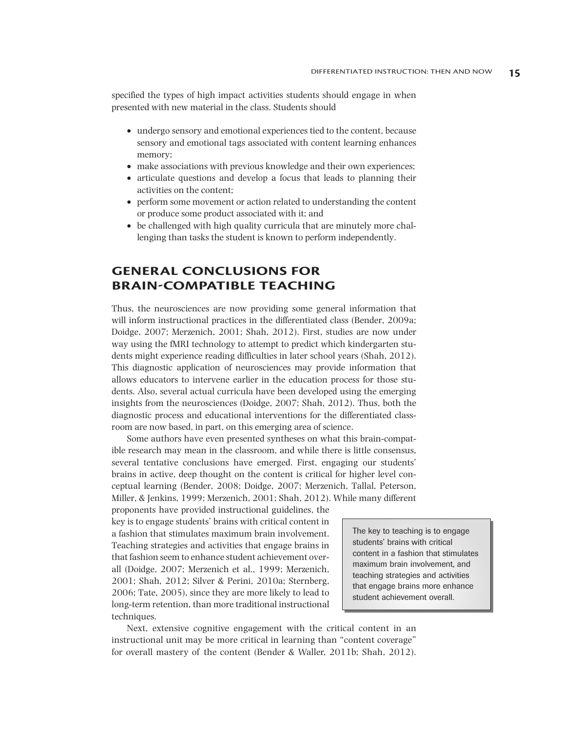specified the types of high impact activities students should engage in when presented with new material in the class. Students should

- undergo sensory and emotional experiences tied to the content, because sensory and emotional tags associated with content learning enhances memory;
- make associations with previous knowledge and their own experiences;
- articulate questions and develop a focus that leads to planning their activities on the content;
- perform some movement or action related to understanding the content or produce some product associated with it; and
- be challenged with high quality curricula that are minutely more challenging than tasks the student is known to perform independently.

# **GENERAL CONCLUSIONS FOR BRAIN-COMPATIBLE TEACHING**

 Thus, the neurosciences are now providing some general information that will inform instructional practices in the differentiated class (Bender, 2009a; Doidge, 2007; Merzenich, 2001; Shah, 2012). First, studies are now under way using the fMRI technology to attempt to predict which kindergarten students might experience reading difficulties in later school years (Shah, 2012). This diagnostic application of neurosciences may provide information that allows educators to intervene earlier in the education process for those students. Also, several actual curricula have been developed using the emerging insights from the neurosciences (Doidge, 2007; Shah, 2012). Thus, both the diagnostic process and educational interventions for the differentiated classroom are now based, in part, on this emerging area of science.

 Some authors have even presented syntheses on what this brain-compatible research may mean in the classroom, and while there is little consensus, several tentative conclusions have emerged. First, engaging our students' brains in active, deep thought on the content is critical for higher level conceptual learning (Bender, 2008; Doidge, 2007; Merzenich, Tallal, Peterson, Miller, & Jenkins, 1999; Merzenich, 2001; Shah, 2012). While many different

proponents have provided instructional guidelines, the key is to engage students' brains with critical content in a fashion that stimulates maximum brain involvement. Teaching strategies and activities that engage brains in that fashion seem to enhance student achievement overall (Doidge, 2007; Merzenich et al., 1999; Merzenich, 2001; Shah, 2012; Silver & Perini, 2010a; Sternberg, 2006; Tate, 2005), since they are more likely to lead to long-term retention, than more traditional instructional techniques.

The key to teaching is to engage students' brains with critical content in a fashion that stimulates maximum brain involvement, and teaching strategies and activities that engage brains more enhance student achievement overall.

 Next, extensive cognitive engagement with the critical content in an instructional unit may be more critical in learning than "content coverage" for overall mastery of the content (Bender & Waller, 2011b; Shah, 2012).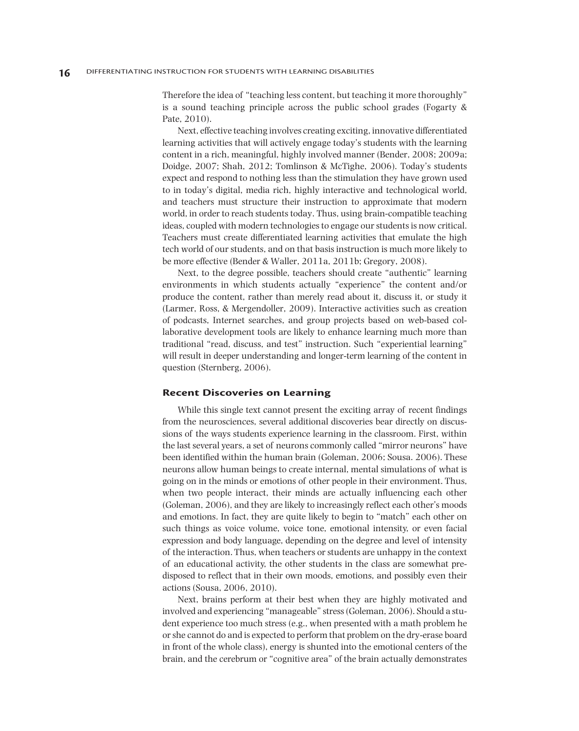Therefore the idea of "teaching less content, but teaching it more thoroughly" is a sound teaching principle across the public school grades (Fogarty & Pate, 2010).

 Next, effective teaching involves creating exciting, innovative differentiated learning activities that will actively engage today's students with the learning content in a rich, meaningful, highly involved manner (Bender, 2008; 2009a; Doidge, 2007; Shah, 2012; Tomlinson & McTighe, 2006). Today's students expect and respond to nothing less than the stimulation they have grown used to in today's digital, media rich, highly interactive and technological world, and teachers must structure their instruction to approximate that modern world, in order to reach students today. Thus, using brain-compatible teaching ideas, coupled with modern technologies to engage our students is now critical. Teachers must create differentiated learning activities that emulate the high tech world of our students, and on that basis instruction is much more likely to be more effective (Bender & Waller, 2011a, 2011b; Gregory, 2008).

 Next, to the degree possible, teachers should create "authentic" learning environments in which students actually "experience" the content and/or produce the content, rather than merely read about it, discuss it, or study it (Larmer, Ross, & Mergendoller, 2009). Interactive activities such as creation of podcasts, Internet searches, and group projects based on web-based collaborative development tools are likely to enhance learning much more than traditional "read, discuss, and test" instruction. Such "experiential learning" will result in deeper understanding and longer-term learning of the content in question (Sternberg, 2006).

### **Recent Discoveries on Learning**

 While this single text cannot present the exciting array of recent findings from the neurosciences, several additional discoveries bear directly on discussions of the ways students experience learning in the classroom. First, within the last several years, a set of neurons commonly called "mirror neurons" have been identified within the human brain (Goleman, 2006; Sousa. 2006). These neurons allow human beings to create internal, mental simulations of what is going on in the minds or emotions of other people in their environment. Thus, when two people interact, their minds are actually influencing each other (Goleman, 2006), and they are likely to increasingly reflect each other's moods and emotions. In fact, they are quite likely to begin to "match" each other on such things as voice volume, voice tone, emotional intensity, or even facial expression and body language, depending on the degree and level of intensity of the interaction. Thus, when teachers or students are unhappy in the context of an educational activity, the other students in the class are somewhat predisposed to reflect that in their own moods, emotions, and possibly even their actions (Sousa, 2006, 2010).

 Next, brains perform at their best when they are highly motivated and involved and experiencing "manageable" stress (Goleman, 2006). Should a student experience too much stress (e.g., when presented with a math problem he or she cannot do and is expected to perform that problem on the dry-erase board in front of the whole class), energy is shunted into the emotional centers of the brain, and the cerebrum or "cognitive area" of the brain actually demonstrates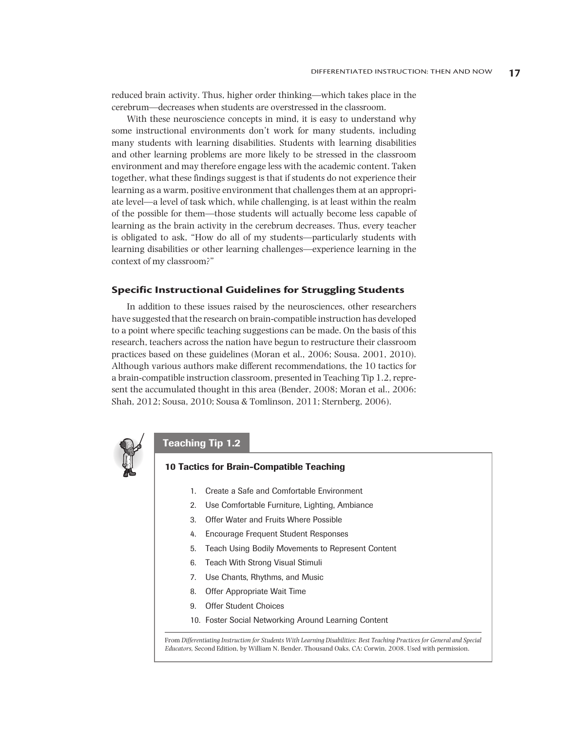reduced brain activity. Thus, higher order thinking—which takes place in the cerebrum—decreases when students are overstressed in the classroom.

 With these neuroscience concepts in mind, it is easy to understand why some instructional environments don't work for many students, including many students with learning disabilities. Students with learning disabilities and other learning problems are more likely to be stressed in the classroom environment and may therefore engage less with the academic content. Taken together, what these findings suggest is that if students do not experience their learning as a warm, positive environment that challenges them at an appropriate level—a level of task which, while challenging, is at least within the realm of the possible for them—those students will actually become less capable of learning as the brain activity in the cerebrum decreases. Thus, every teacher is obligated to ask, "How do all of my students—particularly students with learning disabilities or other learning challenges—experience learning in the context of my classroom?"

### **Specific Instructional Guidelines for Struggling Students**

 In addition to these issues raised by the neurosciences, other researchers have suggested that the research on brain-compatible instruction has developed to a point where specific teaching suggestions can be made. On the basis of this research, teachers across the nation have begun to restructure their classroom practices based on these guidelines (Moran et al., 2006; Sousa. 2001, 2010). Although various authors make different recommendations, the 10 tactics for a brain-compatible instruction classroom, presented in Teaching Tip 1.2, represent the accumulated thought in this area (Bender, 2008; Moran et al., 2006: Shah, 2012; Sousa, 2010; Sousa & Tomlinson, 2011; Sternberg, 2006).



## **Teaching Tip 1.2**

## **10 Tactics for Brain-Compatible Teaching**

- 1. Create a Safe and Comfortable Environment
- 2. Use Comfortable Furniture, Lighting, Ambiance
- 3. Offer Water and Fruits Where Possible
- 4. Encourage Frequent Student Responses
- 5. Teach Using Bodily Movements to Represent Content
- 6. Teach With Strong Visual Stimuli
- 7. Use Chants, Rhythms, and Music
- 8. Offer Appropriate Wait Time
- 9. Offer Student Choices
- 10. Foster Social Networking Around Learning Content

 From *Differentiating Instruction for Students With Learning Disabilities: Best Teaching Practices for General and Special Educators,* Second Edition, by William N. Bender. Thousand Oaks, CA: Corwin, 2008. Used with permission.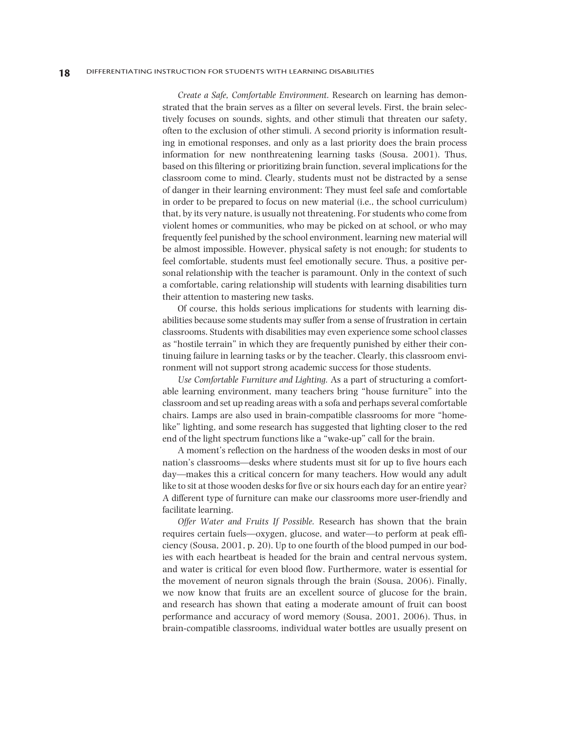#### **18** DIFFERENTIATING INSTRUCTION FOR STUDENTS WITH LEARNING DISABILITIES

*Create a Safe, Comfortable Environment.* Research on learning has demonstrated that the brain serves as a filter on several levels. First, the brain selectively focuses on sounds, sights, and other stimuli that threaten our safety, often to the exclusion of other stimuli. A second priority is information resulting in emotional responses, and only as a last priority does the brain process information for new nonthreatening learning tasks (Sousa. 2001). Thus, based on this filtering or prioritizing brain function, several implications for the classroom come to mind. Clearly, students must not be distracted by a sense of danger in their learning environment: They must feel safe and comfortable in order to be prepared to focus on new material (i.e., the school curriculum) that, by its very nature, is usually not threatening. For students who come from violent homes or communities, who may be picked on at school, or who may frequently feel punished by the school environment, learning new material will be almost impossible. However, physical safety is not enough; for students to feel comfortable, students must feel emotionally secure. Thus, a positive personal relationship with the teacher is paramount. Only in the context of such a comfortable, caring relationship will students with learning disabilities turn their attention to mastering new tasks.

 Of course, this holds serious implications for students with learning disabilities because some students may suffer from a sense of frustration in certain classrooms. Students with disabilities may even experience some school classes as "hostile terrain" in which they are frequently punished by either their continuing failure in learning tasks or by the teacher. Clearly, this classroom environment will not support strong academic success for those students.

*Use Comfortable Furniture and Lighting.* As a part of structuring a comfortable learning environment, many teachers bring "house furniture" into the classroom and set up reading areas with a sofa and perhaps several comfortable chairs. Lamps are also used in brain-compatible classrooms for more "homelike" lighting, and some research has suggested that lighting closer to the red end of the light spectrum functions like a "wake-up" call for the brain.

 A moment's reflection on the hardness of the wooden desks in most of our nation's classrooms—desks where students must sit for up to five hours each day—makes this a critical concern for many teachers. How would any adult like to sit at those wooden desks for five or six hours each day for an entire year? A different type of furniture can make our classrooms more user-friendly and facilitate learning.

*Offer Water and Fruits If Possible.* Research has shown that the brain requires certain fuels—oxygen, glucose, and water—to perform at peak efficiency (Sousa, 2001, p. 20). Up to one fourth of the blood pumped in our bodies with each heartbeat is headed for the brain and central nervous system, and water is critical for even blood flow. Furthermore, water is essential for the movement of neuron signals through the brain (Sousa, 2006). Finally, we now know that fruits are an excellent source of glucose for the brain, and research has shown that eating a moderate amount of fruit can boost performance and accuracy of word memory (Sousa, 2001, 2006). Thus, in brain-compatible classrooms, individual water bottles are usually present on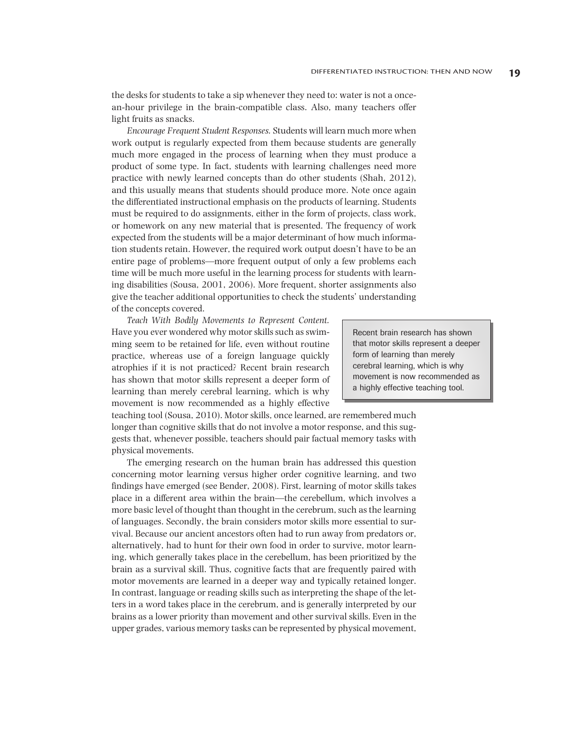the desks for students to take a sip whenever they need to: water is not a oncean-hour privilege in the brain-compatible class. Also, many teachers offer light fruits as snacks.

*Encourage Frequent Student Responses.* Students will learn much more when work output is regularly expected from them because students are generally much more engaged in the process of learning when they must produce a product of some type. In fact, students with learning challenges need more practice with newly learned concepts than do other students (Shah, 2012), and this usually means that students should produce more. Note once again the differentiated instructional emphasis on the products of learning. Students must be required to do assignments, either in the form of projects, class work, or homework on any new material that is presented. The frequency of work expected from the students will be a major determinant of how much information students retain. However, the required work output doesn't have to be an entire page of problems—more frequent output of only a few problems each time will be much more useful in the learning process for students with learning disabilities (Sousa, 2001, 2006). More frequent, shorter assignments also give the teacher additional opportunities to check the students' understanding of the concepts covered.

*Teach With Bodily Movements to Represent Content.*  Have you ever wondered why motor skills such as swimming seem to be retained for life, even without routine practice, whereas use of a foreign language quickly atrophies if it is not practiced? Recent brain research has shown that motor skills represent a deeper form of learning than merely cerebral learning, which is why movement is now recommended as a highly effective

teaching tool (Sousa, 2010). Motor skills, once learned, are remembered much longer than cognitive skills that do not involve a motor response, and this suggests that, whenever possible, teachers should pair factual memory tasks with physical movements.

 The emerging research on the human brain has addressed this question concerning motor learning versus higher order cognitive learning, and two findings have emerged (see Bender, 2008). First, learning of motor skills takes place in a different area within the brain—the cerebellum, which involves a more basic level of thought than thought in the cerebrum, such as the learning of languages. Secondly, the brain considers motor skills more essential to survival. Because our ancient ancestors often had to run away from predators or, alternatively, had to hunt for their own food in order to survive, motor learning, which generally takes place in the cerebellum, has been prioritized by the brain as a survival skill. Thus, cognitive facts that are frequently paired with motor movements are learned in a deeper way and typically retained longer. In contrast, language or reading skills such as interpreting the shape of the letters in a word takes place in the cerebrum, and is generally interpreted by our brains as a lower priority than movement and other survival skills. Even in the upper grades, various memory tasks can be represented by physical movement,

Recent brain research has shown that motor skills represent a deeper form of learning than merely cerebral learning, which is why movement is now recommended as a highly effective teaching tool.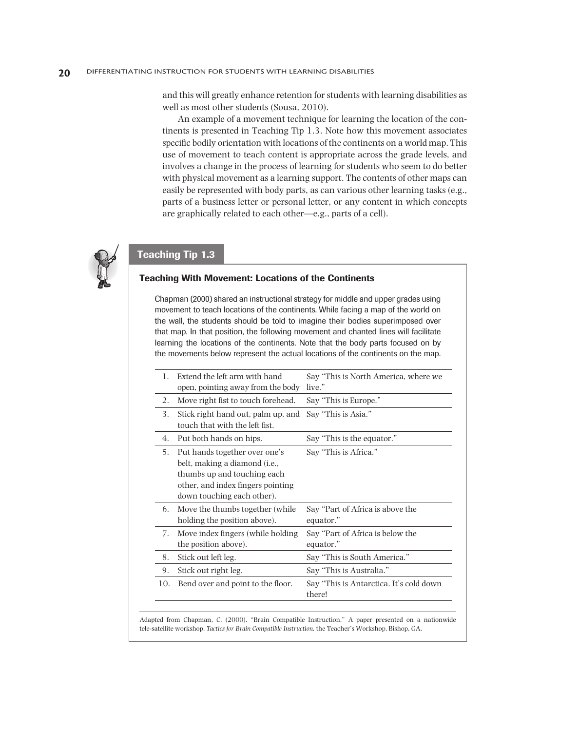and this will greatly enhance retention for students with learning disabilities as well as most other students (Sousa, 2010).

 An example of a movement technique for learning the location of the continents is presented in Teaching Tip 1.3. Note how this movement associates specific bodily orientation with locations of the continents on a world map. This use of movement to teach content is appropriate across the grade levels, and involves a change in the process of learning for students who seem to do better with physical movement as a learning support. The contents of other maps can easily be represented with body parts, as can various other learning tasks (e.g., parts of a business letter or personal letter, or any content in which concepts are graphically related to each other—e.g., parts of a cell).



# **Teaching Tip 1.3**

#### **Teaching With Movement: Locations of the Continents**

Chapman (2000) shared an instructional strategy for middle and upper grades using movement to teach locations of the continents. While facing a map of the world on the wall, the students should be told to imagine their bodies superimposed over that map. In that position, the following movement and chanted lines will facilitate learning the locations of the continents. Note that the body parts focused on by the movements below represent the actual locations of the continents on the map.

| 1.  | Extend the left arm with hand<br>open, pointing away from the body                                                                                                        | Say "This is North America, where we<br>live."    |
|-----|---------------------------------------------------------------------------------------------------------------------------------------------------------------------------|---------------------------------------------------|
| 2.  | Move right fist to touch forehead.                                                                                                                                        | Say "This is Europe."                             |
| 3.  | Stick right hand out, palm up, and<br>touch that with the left fist.                                                                                                      | Say "This is Asia."                               |
| 4.  | Put both hands on hips.                                                                                                                                                   | Say "This is the equator."                        |
| 5.  | Put hands together over one's<br>belt, making a diamond ( <i>i.e.</i> ,<br>thumbs up and touching each<br>other, and index fingers pointing<br>down touching each other). | Say "This is Africa."                             |
| 6.  | Move the thumbs together (while<br>holding the position above).                                                                                                           | Say "Part of Africa is above the<br>equator."     |
| 7.  | Move index fingers (while holding<br>the position above).                                                                                                                 | Say "Part of Africa is below the<br>equator."     |
| 8.  | Stick out left leg.                                                                                                                                                       | Say "This is South America."                      |
| 9.  | Stick out right leg.                                                                                                                                                      | Say "This is Australia."                          |
| 10. | Bend over and point to the floor.                                                                                                                                         | Say "This is Antarctica. It's cold down<br>there! |
|     |                                                                                                                                                                           |                                                   |

Adapted from Chapman, C. (2000). "Brain Compatible Instruction." A paper presented on a nationwide tele-satellite workshop. *Tactics for Brain Compatible Instruction,* the Teacher's Workshop. Bishop, GA.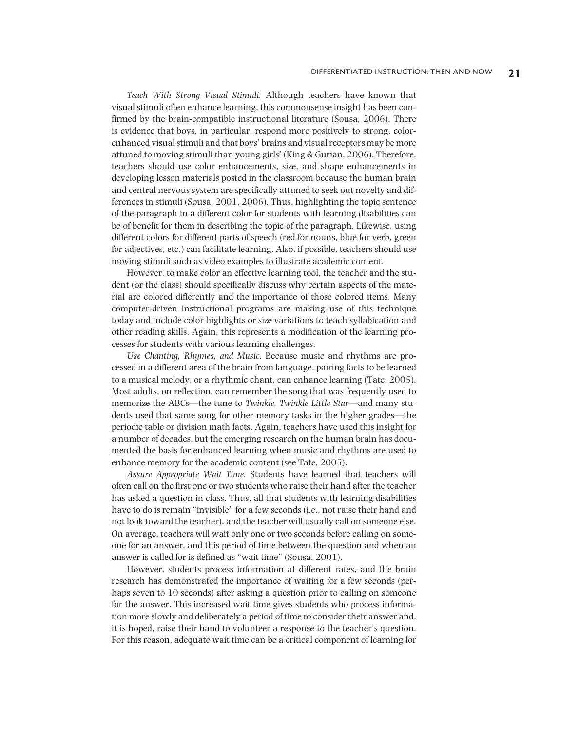*Teach With Strong Visual Stimuli.* Although teachers have known that visual stimuli often enhance learning, this commonsense insight has been confirmed by the brain-compatible instructional literature (Sousa, 2006). There is evidence that boys, in particular, respond more positively to strong, colorenhanced visual stimuli and that boys' brains and visual receptors may be more attuned to moving stimuli than young girls' (King & Gurian, 2006). Therefore, teachers should use color enhancements, size, and shape enhancements in developing lesson materials posted in the classroom because the human brain and central nervous system are specifically attuned to seek out novelty and differences in stimuli (Sousa, 2001, 2006). Thus, highlighting the topic sentence of the paragraph in a different color for students with learning disabilities can be of benefit for them in describing the topic of the paragraph. Likewise, using different colors for different parts of speech (red for nouns, blue for verb, green for adjectives, etc.) can facilitate learning. Also, if possible, teachers should use moving stimuli such as video examples to illustrate academic content.

 However, to make color an effective learning tool, the teacher and the student (or the class) should specifically discuss why certain aspects of the material are colored differently and the importance of those colored items. Many computer-driven instructional programs are making use of this technique today and include color highlights or size variations to teach syllabication and other reading skills. Again, this represents a modification of the learning processes for students with various learning challenges.

*Use Chanting, Rhymes, and Music.* Because music and rhythms are processed in a different area of the brain from language, pairing facts to be learned to a musical melody, or a rhythmic chant, can enhance learning (Tate, 2005). Most adults, on reflection, can remember the song that was frequently used to memorize the ABCs—the tune to *Twinkle*, *Twinkle Little Star*—and many students used that same song for other memory tasks in the higher grades—the periodic table or division math facts. Again, teachers have used this insight for a number of decades, but the emerging research on the human brain has documented the basis for enhanced learning when music and rhythms are used to enhance memory for the academic content (see Tate, 2005).

*Assure Appropriate Wait Time.* Students have learned that teachers will often call on the first one or two students who raise their hand after the teacher has asked a question in class. Thus, all that students with learning disabilities have to do is remain "invisible" for a few seconds (i.e., not raise their hand and not look toward the teacher), and the teacher will usually call on someone else. On average, teachers will wait only one or two seconds before calling on someone for an answer, and this period of time between the question and when an answer is called for is defined as "wait time" (Sousa. 2001).

 However, students process information at different rates, and the brain research has demonstrated the importance of waiting for a few seconds (perhaps seven to 10 seconds) after asking a question prior to calling on someone for the answer. This increased wait time gives students who process information more slowly and deliberately a period of time to consider their answer and, it is hoped, raise their hand to volunteer a response to the teacher's question. For this reason, adequate wait time can be a critical component of learning for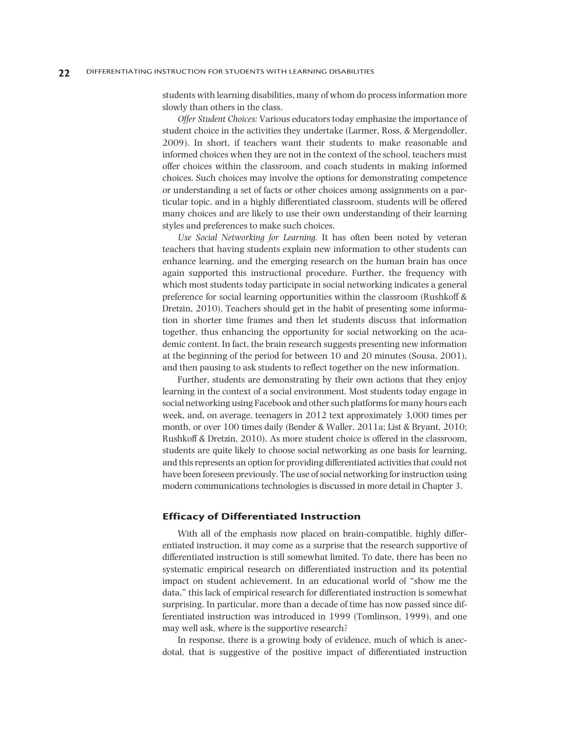students with learning disabilities, many of whom do process information more slowly than others in the class.

*Offer Student Choices:* Various educators today emphasize the importance of student choice in the activities they undertake (Larmer, Ross, & Mergendoller, 2009). In short, if teachers want their students to make reasonable and informed choices when they are not in the context of the school, teachers must offer choices within the classroom, and coach students in making informed choices. Such choices may involve the options for demonstrating competence or understanding a set of facts or other choices among assignments on a particular topic, and in a highly differentiated classroom, students will be offered many choices and are likely to use their own understanding of their learning styles and preferences to make such choices.

*Use Social Networking for Learning.* It has often been noted by veteran teachers that having students explain new information to other students can enhance learning, and the emerging research on the human brain has once again supported this instructional procedure. Further, the frequency with which most students today participate in social networking indicates a general preference for social learning opportunities within the classroom (Rushkoff & Dretzin, 2010). Teachers should get in the habit of presenting some information in shorter time frames and then let students discuss that information together, thus enhancing the opportunity for social networking on the academic content. In fact, the brain research suggests presenting new information at the beginning of the period for between 10 and 20 minutes (Sousa, 2001), and then pausing to ask students to reflect together on the new information.

 Further, students are demonstrating by their own actions that they enjoy learning in the context of a social environment. Most students today engage in social networking using Facebook and other such platforms for many hours each week, and, on average, teenagers in 2012 text approximately 3,000 times per month, or over 100 times daily (Bender & Waller, 2011a; List & Bryant, 2010; Rushkoff & Dretzin, 2010). As more student choice is offered in the classroom, students are quite likely to choose social networking as one basis for learning, and this represents an option for providing differentiated activities that could not have been foreseen previously. The use of social networking for instruction using modern communications technologies is discussed in more detail in Chapter 3.

## **Efficacy of Differentiated Instruction**

 With all of the emphasis now placed on brain-compatible, highly differentiated instruction, it may come as a surprise that the research supportive of differentiated instruction is still somewhat limited. To date, there has been no systematic empirical research on differentiated instruction and its potential impact on student achievement. In an educational world of "show me the data," this lack of empirical research for differentiated instruction is somewhat surprising. In particular, more than a decade of time has now passed since differentiated instruction was introduced in 1999 (Tomlinson, 1999), and one may well ask, where is the supportive research?

 In response, there is a growing body of evidence, much of which is anecdotal, that is suggestive of the positive impact of differentiated instruction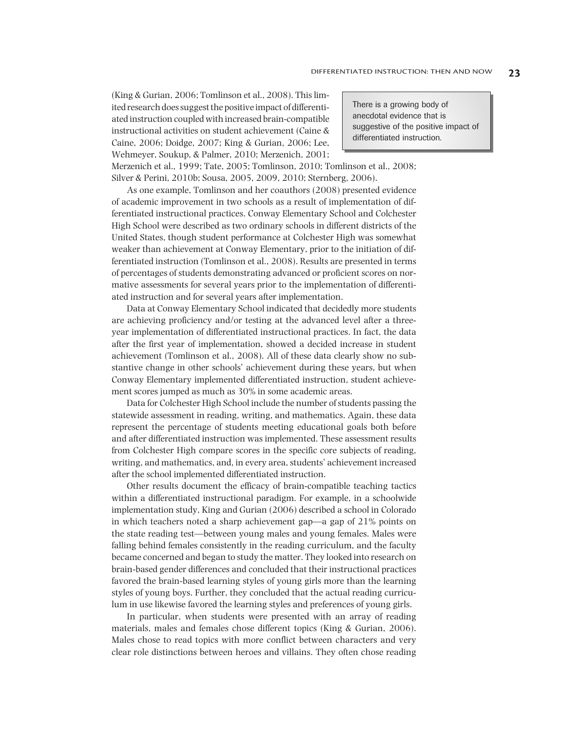(King & Gurian, 2006; Tomlinson et al., 2008). This limited research does suggest the positive impact of differentiated instruction coupled with increased brain-compatible instructional activities on student achievement (Caine & Caine, 2006; Doidge, 2007; King & Gurian, 2006; Lee, Wehmeyer, Soukup, & Palmer, 2010; Merzenich, 2001;

There is a growing body of anecdotal evidence that is suggestive of the positive impact of differentiated instruction.

Merzenich et al., 1999; Tate, 2005; Tomlinson, 2010; Tomlinson et al., 2008; Silver & Perini, 2010b; Sousa, 2005, 2009, 2010; Sternberg, 2006).

 As one example, Tomlinson and her coauthors (2008) presented evidence of academic improvement in two schools as a result of implementation of differentiated instructional practices. Conway Elementary School and Colchester High School were described as two ordinary schools in different districts of the United States, though student performance at Colchester High was somewhat weaker than achievement at Conway Elementary, prior to the initiation of differentiated instruction (Tomlinson et al., 2008). Results are presented in terms of percentages of students demonstrating advanced or proficient scores on normative assessments for several years prior to the implementation of differentiated instruction and for several years after implementation.

 Data at Conway Elementary School indicated that decidedly more students are achieving proficiency and/or testing at the advanced level after a threeyear implementation of differentiated instructional practices. In fact, the data after the first year of implementation, showed a decided increase in student achievement (Tomlinson et al., 2008). All of these data clearly show no substantive change in other schools' achievement during these years, but when Conway Elementary implemented differentiated instruction, student achievement scores jumped as much as 30% in some academic areas.

 Data for Colchester High School include the number of students passing the statewide assessment in reading, writing, and mathematics. Again, these data represent the percentage of students meeting educational goals both before and after differentiated instruction was implemented. These assessment results from Colchester High compare scores in the specific core subjects of reading, writing, and mathematics, and, in every area, students' achievement increased after the school implemented differentiated instruction.

 Other results document the efficacy of brain-compatible teaching tactics within a differentiated instructional paradigm. For example, in a schoolwide implementation study, King and Gurian (2006) described a school in Colorado in which teachers noted a sharp achievement gap—a gap of 21% points on the state reading test—between young males and young females. Males were falling behind females consistently in the reading curriculum, and the faculty became concerned and began to study the matter. They looked into research on brain-based gender differences and concluded that their instructional practices favored the brain-based learning styles of young girls more than the learning styles of young boys. Further, they concluded that the actual reading curriculum in use likewise favored the learning styles and preferences of young girls.

 In particular, when students were presented with an array of reading materials, males and females chose different topics (King & Gurian, 2006). Males chose to read topics with more conflict between characters and very clear role distinctions between heroes and villains. They often chose reading